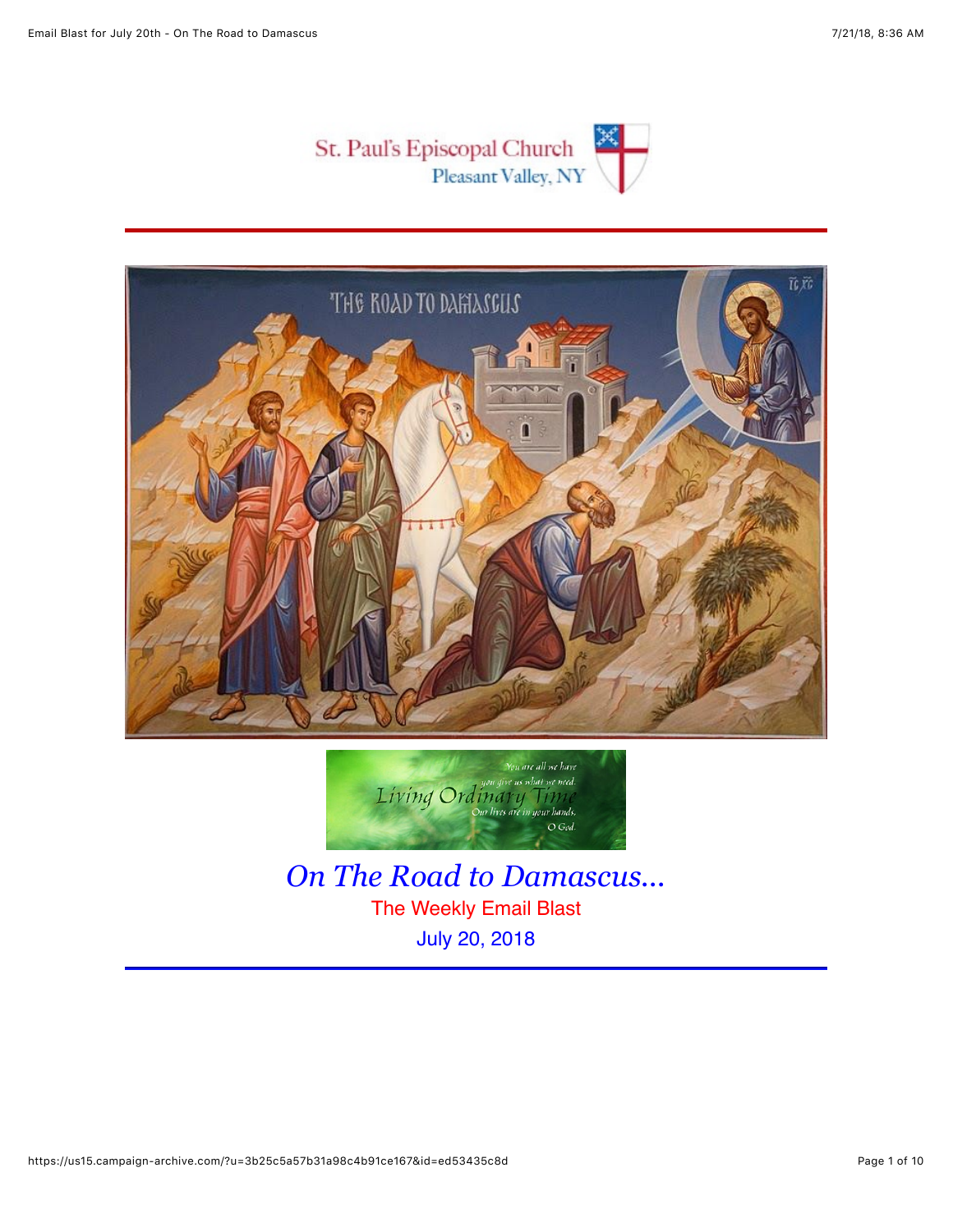





*On The Road to Damascus...* The Weekly Email Blast July 20, 2018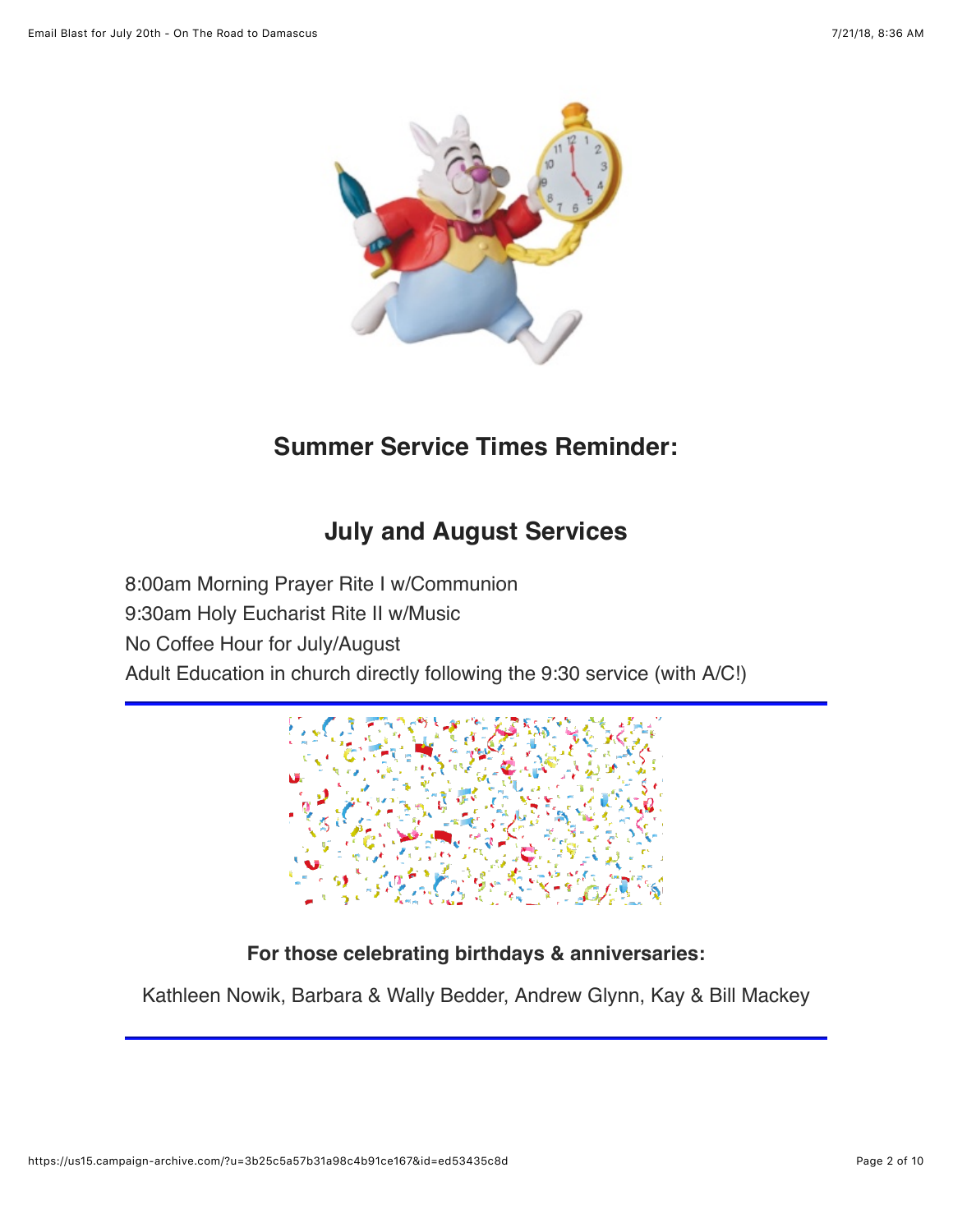

## **Summer Service Times Reminder:**

## **July and August Services**

8:00am Morning Prayer Rite I w/Communion 9:30am Holy Eucharist Rite II w/Music No Coffee Hour for July/August Adult Education in church directly following the 9:30 service (with A/C!)



### **For those celebrating birthdays & anniversaries:**

Kathleen Nowik, Barbara & Wally Bedder, Andrew Glynn, Kay & Bill Mackey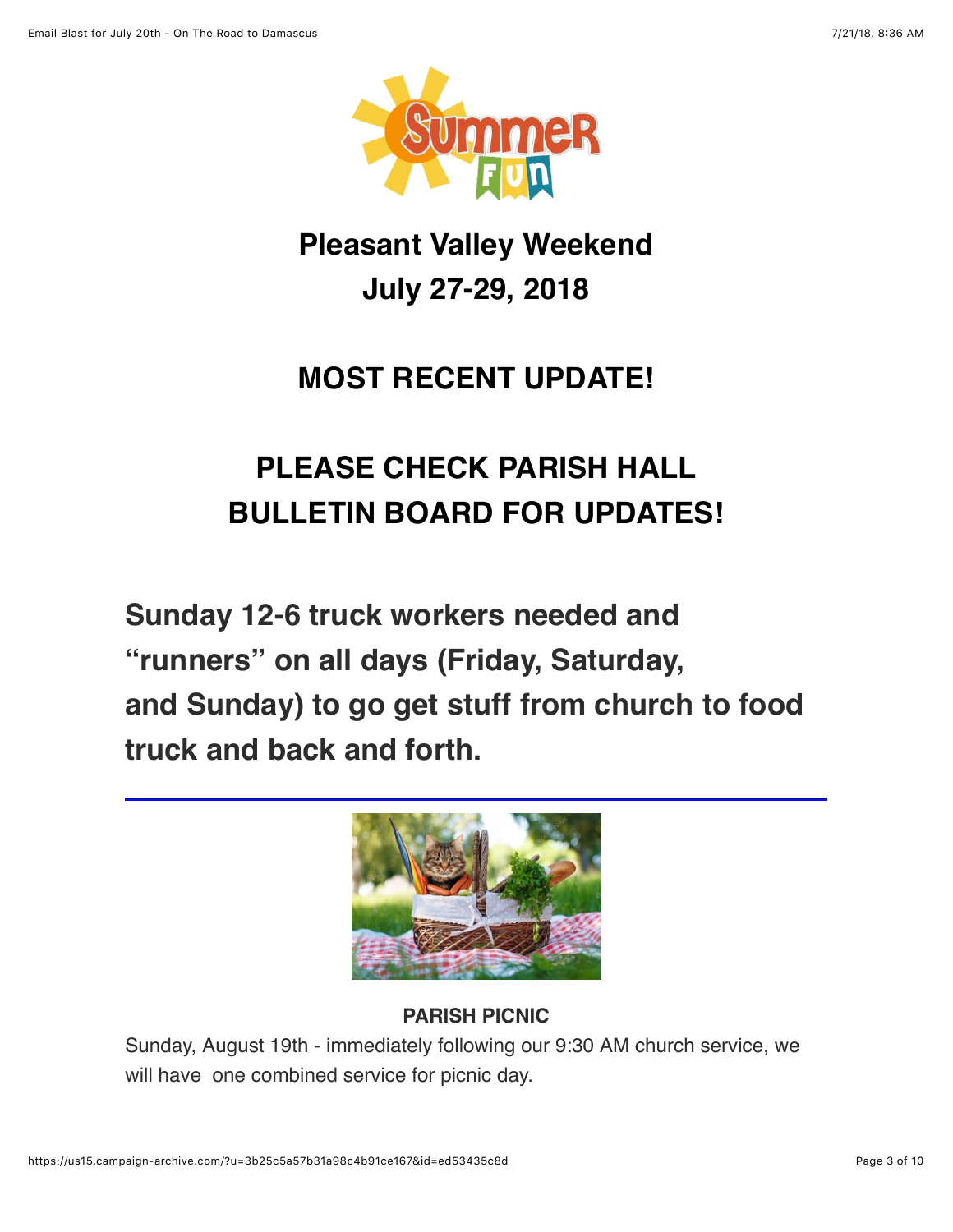

## **Pleasant Valley Weekend July 27-29, 2018**

## **MOST RECENT UPDATE!**

# **PLEASE CHECK PARISH HALL BULLETIN BOARD FOR UPDATES!**

**Sunday 12-6 truck workers needed and "runners" on all days (Friday, Saturday, and Sunday) to go get stuff from church to food truck and back and forth.**



## **PARISH PICNIC**

Sunday, August 19th - immediately following our 9:30 AM church service, we will have one combined service for picnic day.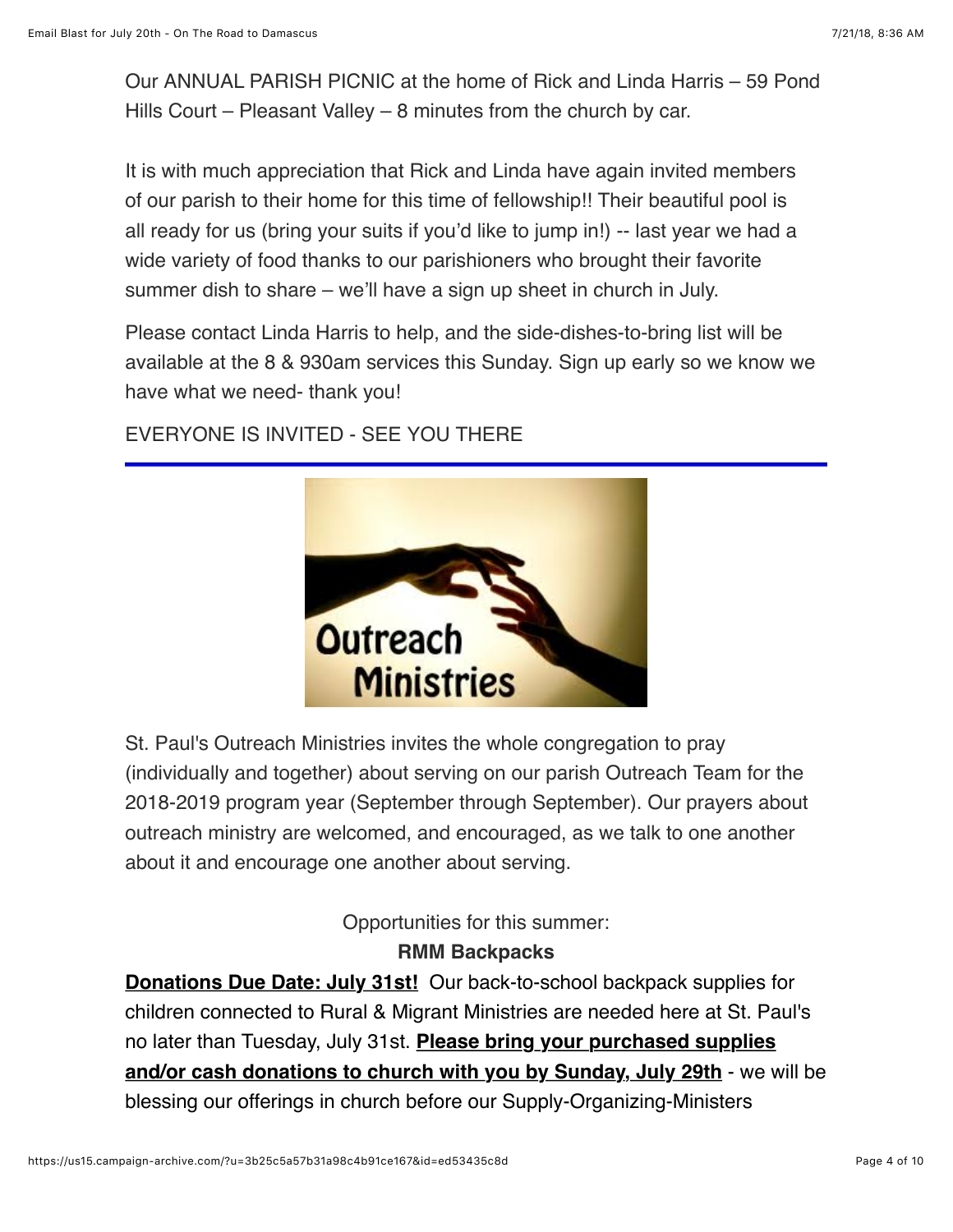Our ANNUAL PARISH PICNIC at the home of Rick and Linda Harris – 59 Pond Hills Court – Pleasant Valley – 8 minutes from the church by car.

It is with much appreciation that Rick and Linda have again invited members of our parish to their home for this time of fellowship!! Their beautiful pool is all ready for us (bring your suits if you'd like to jump in!) -- last year we had a wide variety of food thanks to our parishioners who brought their favorite summer dish to share – we'll have a sign up sheet in church in July.

Please contact Linda Harris to help, and the side-dishes-to-bring list will be available at the 8 & 930am services this Sunday. Sign up early so we know we have what we need- thank you!

EVERYONE IS INVITED - SEE YOU THERE



St. Paul's Outreach Ministries invites the whole congregation to pray (individually and together) about serving on our parish Outreach Team for the 2018-2019 program year (September through September). Our prayers about outreach ministry are welcomed, and encouraged, as we talk to one another about it and encourage one another about serving.

#### Opportunities for this summer: **RMM Backpacks**

**Donations Due Date: July 31st!** Our back-to-school backpack supplies for children connected to Rural & Migrant Ministries are needed here at St. Paul's no later than Tuesday, July 31st. **Please bring your purchased supplies and/or cash donations to church with you by Sunday, July 29th** - we will be blessing our offerings in church before our Supply-Organizing-Ministers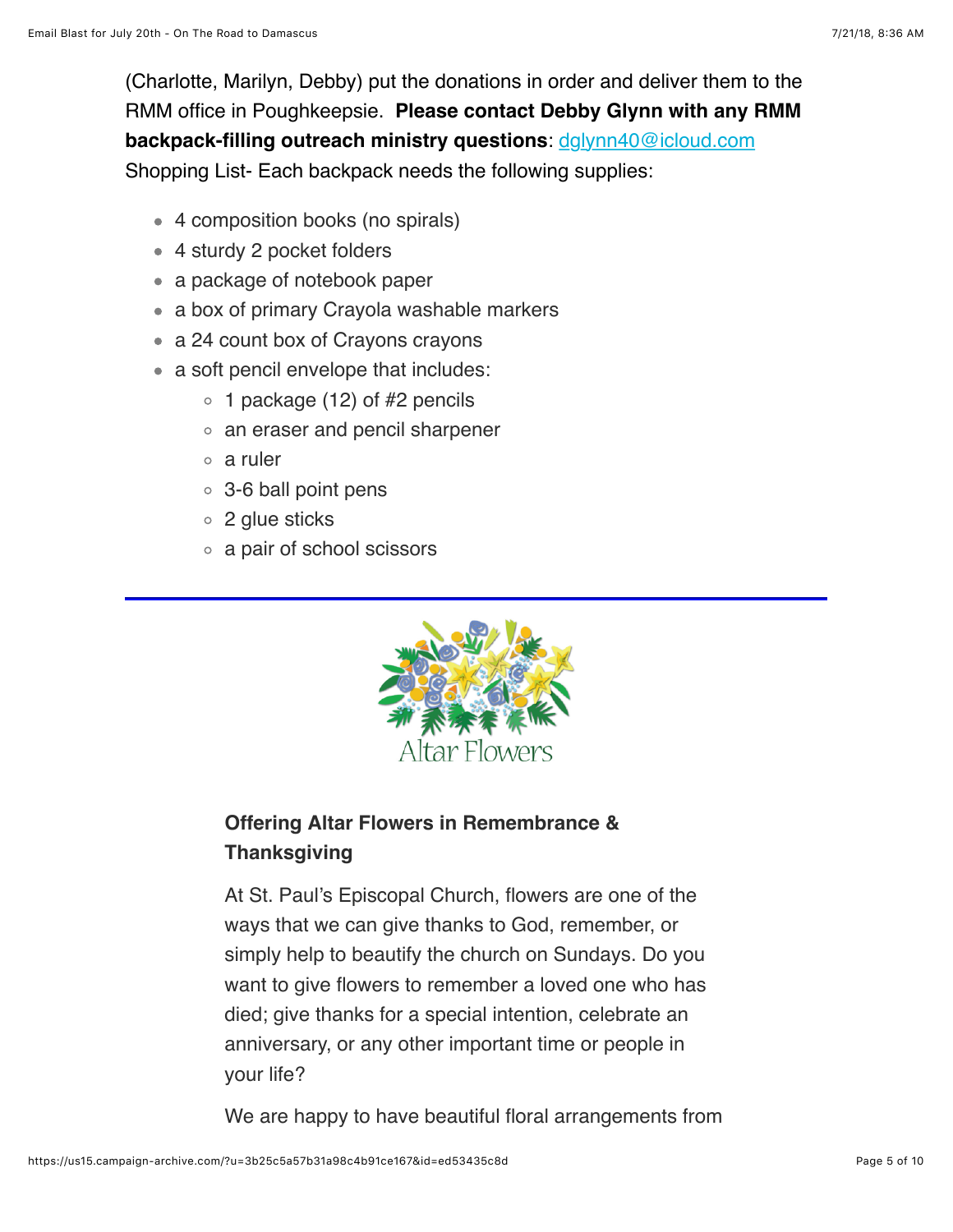(Charlotte, Marilyn, Debby) put the donations in order and deliver them to the RMM office in Poughkeepsie. **Please contact Debby Glynn with any RMM backpack-filling outreach ministry questions**: [dglynn40@icloud.com](mailto:dglynn40@icloud.com?subject=RMM%20Backpacks) Shopping List- Each backpack needs the following supplies:

- 4 composition books (no spirals)
- 4 sturdy 2 pocket folders
- a package of notebook paper
- a box of primary Crayola washable markers
- a 24 count box of Crayons crayons
- a soft pencil envelope that includes:
	- $\circ$  1 package (12) of #2 pencils
	- an eraser and pencil sharpener
	- a ruler
	- 3-6 ball point pens
	- 2 glue sticks
	- a pair of school scissors



## **Offering Altar Flowers in Remembrance & Thanksgiving**

At St. Paul's Episcopal Church, flowers are one of the ways that we can give thanks to God, remember, or simply help to beautify the church on Sundays. Do you want to give flowers to remember a loved one who has died; give thanks for a special intention, celebrate an anniversary, or any other important time or people in your life?

We are happy to have beautiful floral arrangements from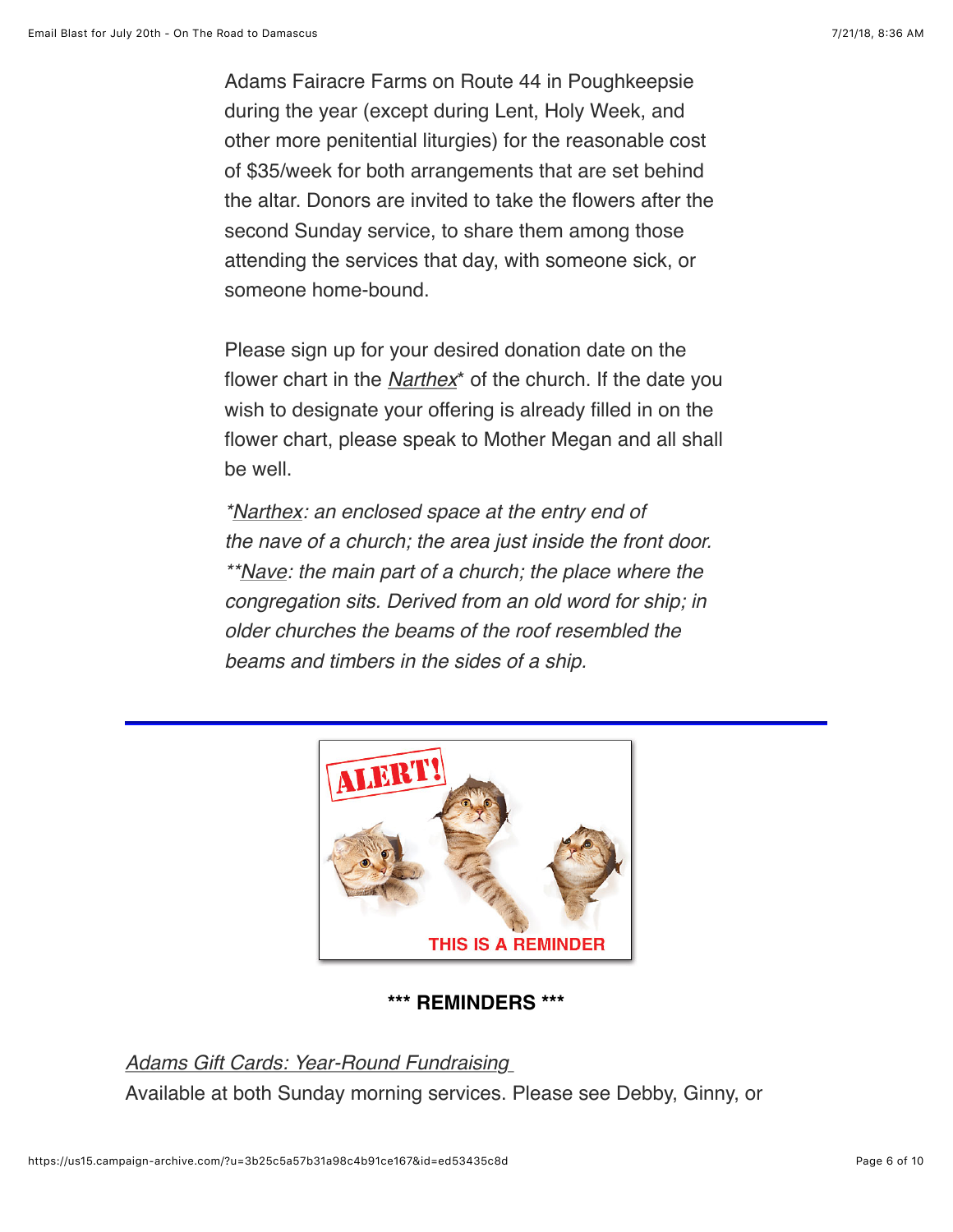Adams Fairacre Farms on Route 44 in Poughkeepsie during the year (except during Lent, Holy Week, and other more penitential liturgies) for the reasonable cost of \$35/week for both arrangements that are set behind the altar. Donors are invited to take the flowers after the second Sunday service, to share them among those attending the services that day, with someone sick, or someone home-bound.

Please sign up for your desired donation date on the flower chart in the *Narthex*\* of the church. If the date you wish to designate your offering is already filled in on the flower chart, please speak to Mother Megan and all shall be well.

*\*Narthex: an enclosed space at the entry end of the nave of a church; the area just inside the front door. \*\*Nave: the main part of a church; the place where the congregation sits. Derived from an old word for ship; in older churches the beams of the roof resembled the beams and timbers in the sides of a ship.*



#### **\*\*\* REMINDERS \*\*\***

*Adams Gift Cards: Year-Round Fundraising*  Available at both Sunday morning services. Please see Debby, Ginny, or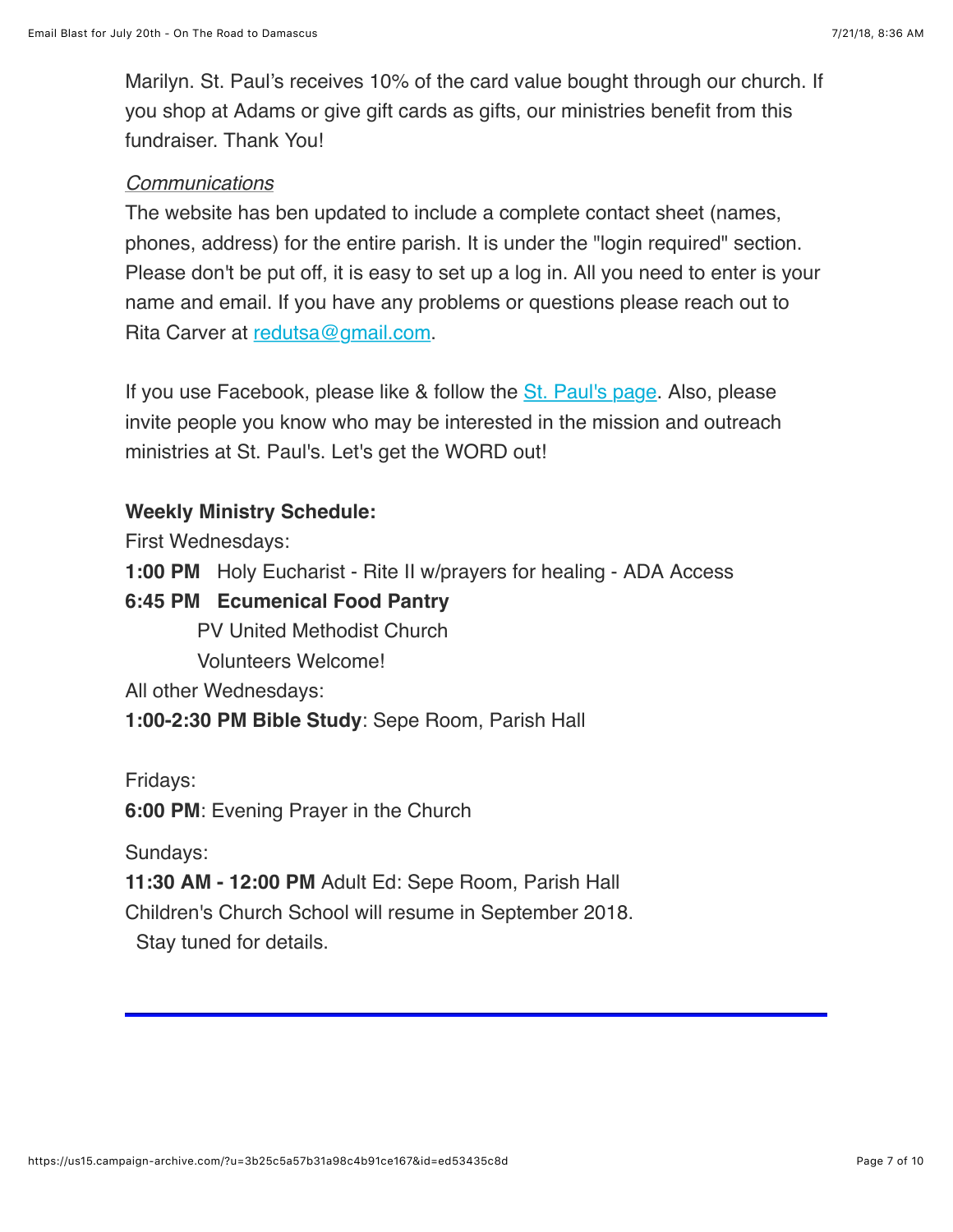Marilyn. St. Paul's receives 10% of the card value bought through our church. If you shop at Adams or give gift cards as gifts, our ministries benefit from this fundraiser. Thank You!

#### *Communications*

The website has ben updated to include a complete contact sheet (names, phones, address) for the entire parish. It is under the "login required" section. Please don't be put off, it is easy to set up a log in. All you need to enter is your name and email. If you have any problems or questions please reach out to Rita Carver at [redutsa@gmail.com.](mailto:redutsa@gmail.com?subject=Website%20Log-in)

If you use Facebook, please like & follow the [St. Paul's page](https://www.facebook.com/stpaulspleasantvalley/?ref=bookmarks). Also, please invite people you know who may be interested in the mission and outreach ministries at St. Paul's. Let's get the WORD out!

#### **Weekly Ministry Schedule:**

First Wednesdays:

**1:00 PM** Holy Eucharist - Rite II w/prayers for healing - ADA Access

#### **6:45 PM Ecumenical Food Pantry**

PV United Methodist Church

Volunteers Welcome!

All other Wednesdays:

**1:00-2:30 PM Bible Study**: Sepe Room, Parish Hall

Fridays:

**6:00 PM**: Evening Prayer in the Church

Sundays:

**11:30 AM - 12:00 PM** Adult Ed: Sepe Room, Parish Hall

Children's Church School will resume in September 2018.

Stay tuned for details.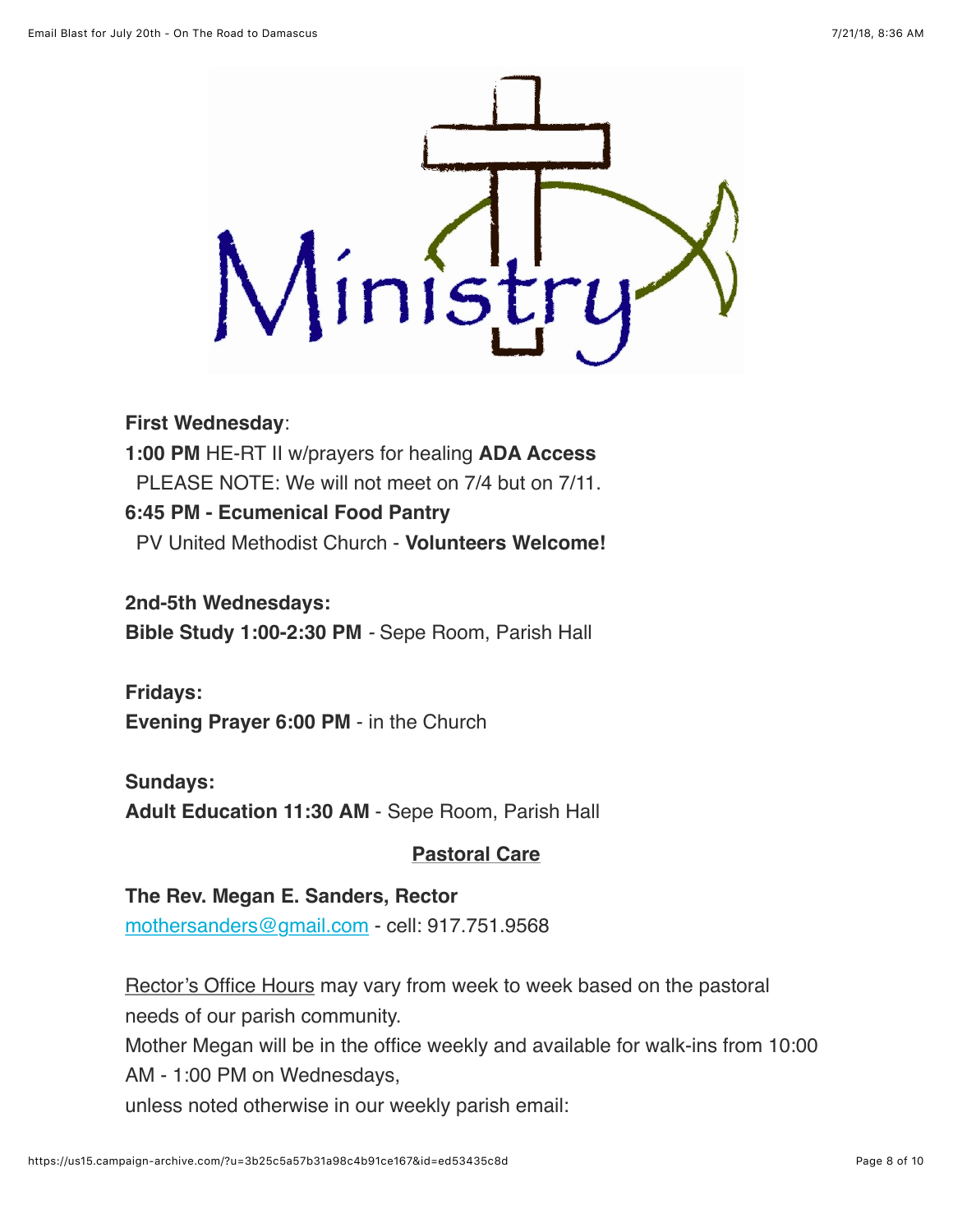

#### **First Wednesday**:

**1:00 PM** HE-RT II w/prayers for healing **ADA Access** PLEASE NOTE: We will not meet on 7/4 but on 7/11. **6:45 PM - Ecumenical Food Pantry** PV United Methodist Church - **Volunteers Welcome!**

**2nd-5th Wednesdays: Bible Study 1:00-2:30 PM** *-* Sepe Room, Parish Hall

**Fridays: Evening Prayer 6:00 PM** - in the Church

#### **Sundays:**

**Adult Education 11:30 AM** - Sepe Room, Parish Hall

#### **Pastoral Care**

#### **The Rev. Megan E. Sanders, Rector**

[mothersanders@gmail.com](mailto:mothersanders@gmail.com) - cell: 917.751.9568

Rector's Office Hours may vary from week to week based on the pastoral needs of our parish community. Mother Megan will be in the office weekly and available for walk-ins from 10:00 AM - 1:00 PM on Wednesdays, unless noted otherwise in our weekly parish email: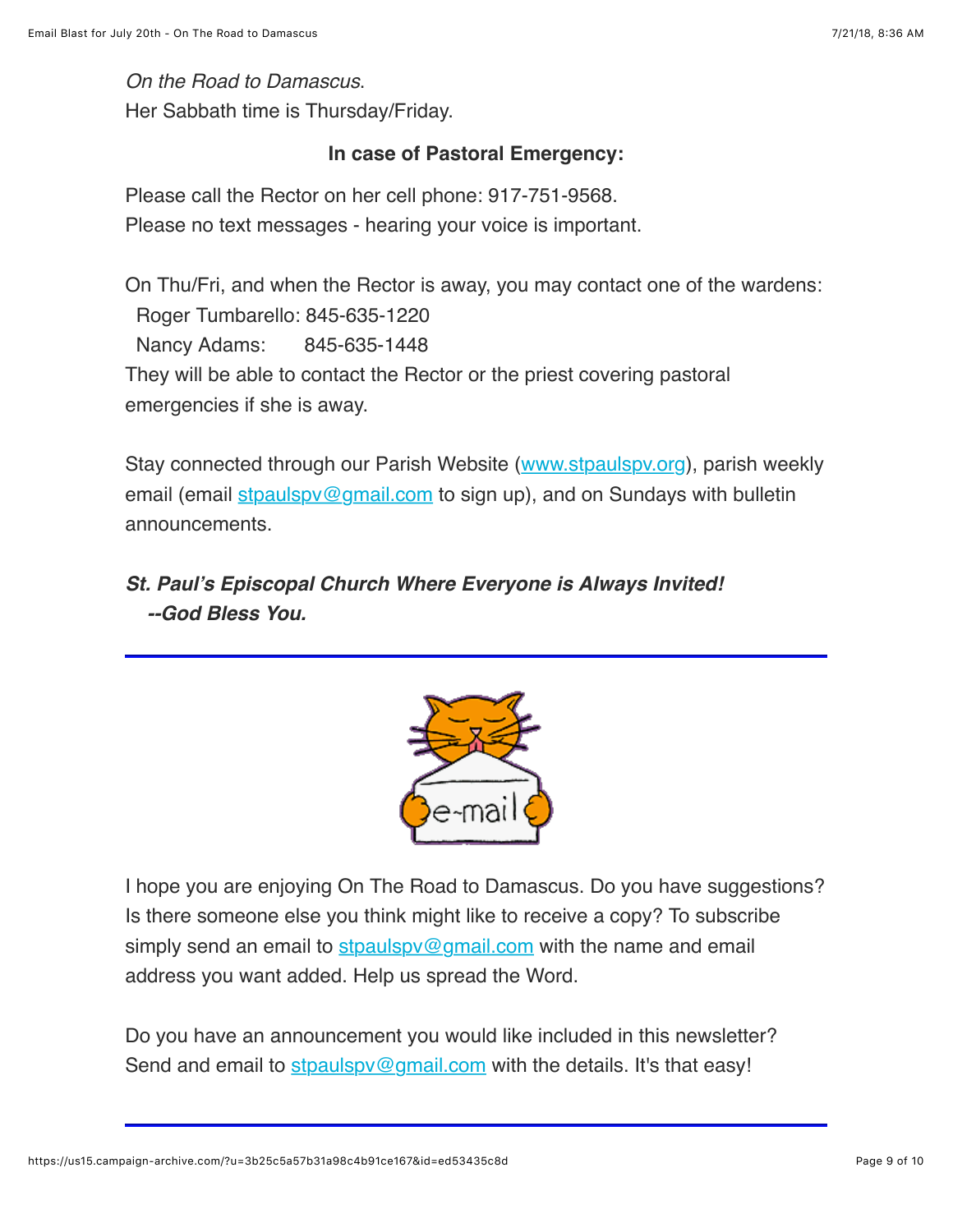*On the Road to Damascus*.

Her Sabbath time is Thursday/Friday.

#### **In case of Pastoral Emergency:**

Please call the Rector on her cell phone: 917-751-9568. Please no text messages - hearing your voice is important.

On Thu/Fri, and when the Rector is away, you may contact one of the wardens: Roger Tumbarello: 845-635-1220 Nancy Adams: 845-635-1448 They will be able to contact the Rector or the priest covering pastoral emergencies if she is away.

Stay connected through our Parish Website ([www.stpaulspv.org\)](http://www.stpaulspv.org/), parish weekly email (email stpaulspy@gmail.com to sign up), and on Sundays with bulletin announcements.

### *St. Paul's Episcopal Church Where Everyone is Always Invited! --God Bless You.*



I hope you are enjoying On The Road to Damascus. Do you have suggestions? Is there someone else you think might like to receive a copy? To subscribe simply send an email to stpaulspy@gmail.com with the name and email address you want added. Help us spread the Word.

Do you have an announcement you would like included in this newsletter? Send and email to stpaulspy@gmail.com with the details. It's that easy!